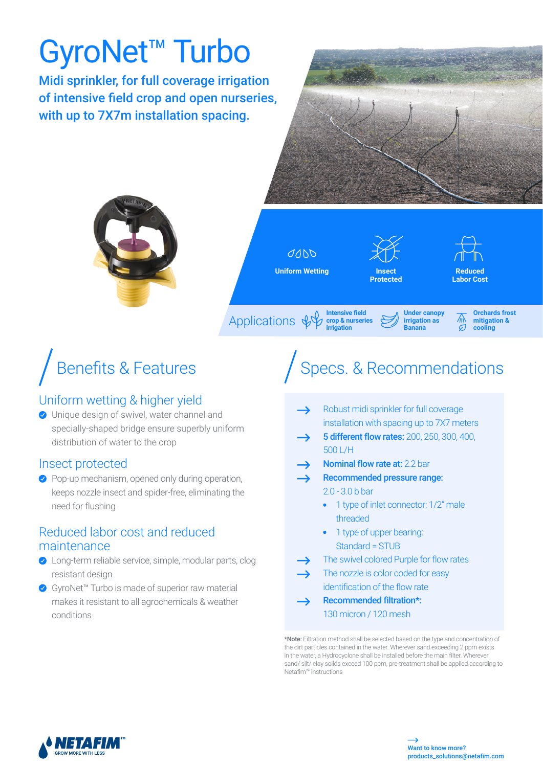# GyroNet™ Turbo

Midi sprinkler, for full coverage irrigation of intensive field crop and open nurseries, with up to 7X7m installation spacing.





 $QQDD$ **Uniform Wetting**





灬  $\sigma$ 

**Reduced Labor Cost** 

> **Orchards frost mitigation & cooling**

Applications & **Intensive field crop & nurseries irrigation**

### Uniform wetting & higher yield

O Unique design of swivel, water channel and specially-shaped bridge ensure superbly uniform distribution of water to the crop

#### Insect protected

◆ Pop-up mechanism, opened only during operation, keeps nozzle insect and spider-free, eliminating the need for flushing

#### Reduced labor cost and reduced maintenance

- ◆ Long-term reliable service, simple, modular parts, clog resistant design
- ◆ GyroNet™ Turbo is made of superior raw material makes it resistant to all agrochemicals & weather conditions

## Benefits & Features  $\bigcap$  Specs. & Recommendations

**Under canopy irrigation as Banana**

- Robust midi sprinkler for full coverage installation with spacing up to 7X7 meters
- 5 different flow rates: 200, 250, 300, 400,  $\rightarrow$ 500 L/H
- Nominal flow rate at: 2.2 bar
	- Recommended pressure range: 2.0 - 3.0 b bar
		- 1 type of inlet connector: 1/2" male threaded
		- 1 type of upper bearing: Standard = STUB
- The swivel colored Purple for flow rates
	- The nozzle is color coded for easy identification of the flow rate
- Recommended filtration\*: 130 micron / 120 mesh

\*Note: Filtration method shall be selected based on the type and concentration of the dirt particles contained in the water. Wherever sand exceeding 2 ppm exists in the water, a Hydrocyclone shall be installed before the main filter. Wherever sand/ silt/ clay solids exceed 100 ppm, pre-treatment shall be applied according to Netafim™ instructions

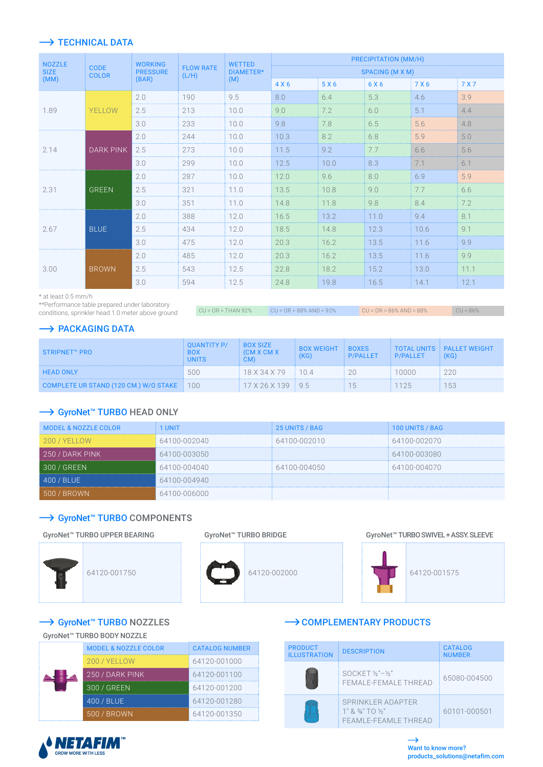#### $\rightarrow$  TECHNICAL DATA

| <b>NOZZLE</b>       | <b>CODE</b><br><b>COLOR</b> | <b>WORKING</b><br><b>PRESSURE</b><br>(L/H)<br>(BAR) |                  | <b>WETTED</b><br>DIAMETER*<br>(M) | PRECIPITATION (MM/H) |       |       |       |       |
|---------------------|-----------------------------|-----------------------------------------------------|------------------|-----------------------------------|----------------------|-------|-------|-------|-------|
| <b>SIZE</b><br>(MM) |                             |                                                     | <b>FLOW RATE</b> |                                   | SPACING (M X M)      |       |       |       |       |
|                     |                             |                                                     |                  |                                   | 4 X 6                | 5 X 6 | 6 X 6 | 7 X 6 | 7 X 7 |
|                     | YELLOW                      | 2.0                                                 | 190              | 9.5                               | 8.0                  | 6.4   | 5.3   | 4.6   | 3.9   |
| 1.89                |                             | 2.5                                                 | 213              | 10.0                              | 9.0                  | 7.2   | 6.0   | 5.1   | 4.4   |
|                     |                             | 3.0                                                 | 233              | 10.0                              | 9.8                  | 7.8   | 6.5   | 5.6   | 4.8   |
|                     | <b>DARK PINK</b>            | 2.0                                                 | 244              | 10.0                              | 10.3                 | 8.2   | 6.8   | 5.9   | 5.0   |
| 2.14                |                             | 2.5                                                 | 273              | 10.0                              | 11.5                 | 9.2   | 7.7   | 6.6   | 5.6   |
|                     |                             | 3.0                                                 | 299              | 10.0                              | 12.5                 | 10.0  | 8.3   | 7.1   | 6.1   |
|                     | <b>GREEN</b>                | 2.0                                                 | 287              | 10.0                              | 12.0                 | 9.6   | 8.0   | 6.9   | 5.9   |
| 2.31                |                             | 2.5                                                 | 321              | 11.0                              | 13.5                 | 10.8  | 9.0   | 7.7   | 6.6   |
|                     |                             | 3.0                                                 | 351              | 11.0                              | 14.8                 | 11.8  | 9.8   | 8.4   | 7.2   |
| 2.67                | <b>BLUE</b>                 | 2.0                                                 | 388              | 12.0                              | 16.5                 | 13.2  | 11.0  | 9.4   | 8.1   |
|                     |                             | 2.5                                                 | 434              | 12.0                              | 18.5                 | 14.8  | 12.3  | 10.6  | 9.1   |
|                     |                             | 3.0                                                 | 475              | 12.0                              | 20.3                 | 16.2  | 13.5  | 11.6  | 9.9   |
| 3.00                | <b>BROWN</b>                | 2.0                                                 | 485              | 12.0                              | 20.3                 | 16.2  | 13.5  | 11.6  | 9.9   |
|                     |                             | 2.5                                                 | 543              | 12.5                              | 22.8                 | 18.2  | 15.2  | 13.0  | 11.1  |
|                     |                             | 3.0                                                 | 594              | 12.5                              | 24.8                 | 19.8  | 16.5  | 14.1  | 12.1  |

\* at least 0.5 mm/h

\*\*Performance table prepared under laboratory conditions, sprinkler head 1.0 meter above ground

 $CU = OR > THAN 92\%$   $CU = OR > 88\% AND < 92\%$   $CU = OR > 86\% AND < 88\%$ 

#### $\rightarrow$  PACKAGING DATA

| STRIPNET™ PRO                             | <b>OUANTITY P/</b><br><b>INITS</b> | <b>BOX SIZE</b><br><b>CM X CM X</b> | <b>BOX WEIGHT</b><br>(KG) | <b>EROXES</b><br><b>P/PALLET</b> | <b>P/PALLET</b> | TOTAL UNITS PALLET WEIGHT<br>(KG) |
|-------------------------------------------|------------------------------------|-------------------------------------|---------------------------|----------------------------------|-----------------|-----------------------------------|
| <b>HEAD ONLY</b>                          | 500                                | $18 \times 34 \times 79$ 104        |                           |                                  | 0000            | 220                               |
| COMPLETE UR STAND (120 CM.) W/O STAKE 100 |                                    | $17 \times 26 \times 139$ 9.5       |                           | $-15$                            | 125             | 153                               |

#### → GyroNet™ TURBO HEAD ONLY

| <b>MODEL &amp; NOZZLE COLOR</b> | 1 UNIT       | 25 UNITS / BAG | 100 UNITS / BAG |
|---------------------------------|--------------|----------------|-----------------|
| 200 / YELLOW                    | 64100-002040 | 64100-002010   | 64100-002070    |
| $1250$ / DARK PINK              | 64100-003050 |                | 64100-003080    |
| $\sqrt{300}$ / GREEN            | 64100-004040 | 64100-004050   | 64100-004070    |
| 400 / BLUE                      | 64100-004940 |                |                 |
| i / BROWN'                      | 64100-006000 |                |                 |

#### → GyroNet<sup>™</sup> TURBO COMPONENTS

#### GyroNet™ TURBO UPPER BEARING



GyroNet™ TURBO BRIDGE

64120-002000

GyroNet™ TURBO SWIVEL + ASSY. SLEEVE



→ GyroNet<sup>™</sup> TURBO NOZZLES

#### GyroNet™ TURBO BODY NOZZLE

| <b>MODEL &amp; NOZZLE COLOR</b> | <b>CATALOG NUMBER</b> |
|---------------------------------|-----------------------|
| 200 / YELLOW                    | 64120-001000          |
| 250 / DARK PINK                 | 64120-001100          |
| 300 / GREEN                     | 64120-001200          |
| 400 / BLUE                      | 64120-001280          |
| 500 / BROWN                     | 64120-001350          |

#### $\rightarrow$  COMPLEMENTARY PRODUCTS

| <b>PRODUCT</b><br><b>ILLUSTRATION</b> | <b>DESCRIPTION</b>                                             | <b>CATALOG</b><br><b>NUMBER</b> |
|---------------------------------------|----------------------------------------------------------------|---------------------------------|
|                                       | $SOCKET$ %"-%"<br>FEMALE-FEMALE THREAD                         | 65080-004500                    |
|                                       | SPRINKLER ADAPTER<br>1" 8 34" 70 35"<br>FFAMI F-FFAMI F THRFAD | 60101-000501                    |



**EFRICH FIELD** TO SPRINGLERS FOR OPEN FIELD CROPS // GYRONET™ TURBO 67 OPEN FIELD CROPS // GYRONET™ TURBO 67 OPEN FIELD CROPS // GYRONET™ TURBO 67 OPEN FIELD CROPS // GYRONET™ TURBO 67 OPEN FIELD CROPS // GYRONET™ TURBO 6 i, products\_solutions@netafim.com